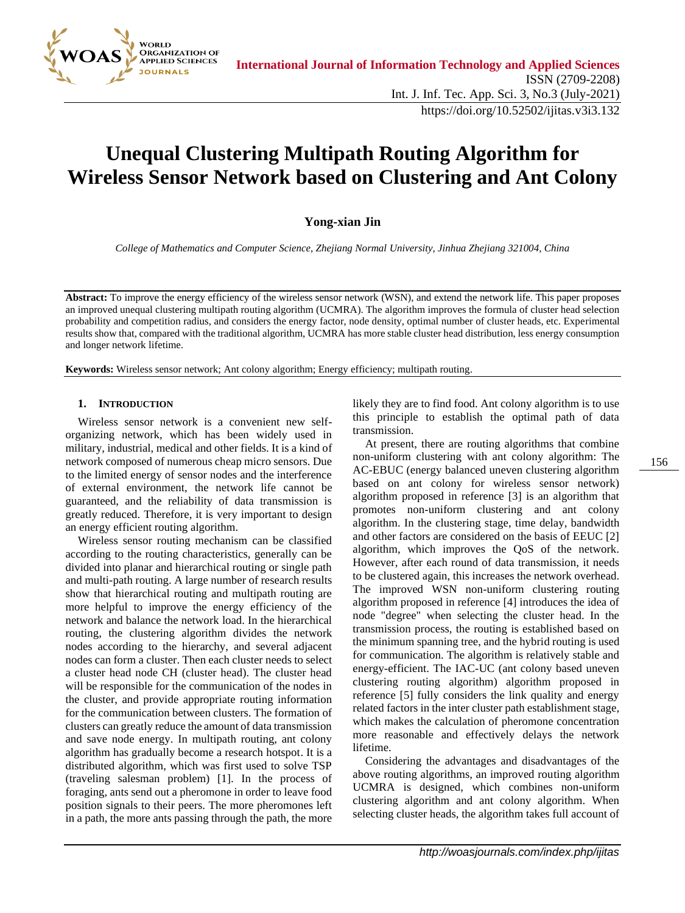

# **Unequal Clustering Multipath Routing Algorithm for Wireless Sensor Network based on Clustering and Ant Colony**

# **Yong-xian Jin**

*College of Mathematics and Computer Science, Zhejiang Normal University, Jinhua Zhejiang 321004, China*

**Abstract:** To improve the energy efficiency of the wireless sensor network (WSN), and extend the network life. This paper proposes an improved unequal clustering multipath routing algorithm (UCMRA). The algorithm improves the formula of cluster head selection probability and competition radius, and considers the energy factor, node density, optimal number of cluster heads, etc. Experimental results show that, compared with the traditional algorithm, UCMRA has more stable cluster head distribution, less energy consumption and longer network lifetime.

**Keywords:** Wireless sensor network; Ant colony algorithm; Energy efficiency; multipath routing.

#### **1. INTRODUCTION**

Wireless sensor network is a convenient new selforganizing network, which has been widely used in military, industrial, medical and other fields. It is a kind of network composed of numerous cheap micro sensors. Due to the limited energy of sensor nodes and the interference of external environment, the network life cannot be guaranteed, and the reliability of data transmission is greatly reduced. Therefore, it is very important to design an energy efficient routing algorithm.

Wireless sensor routing mechanism can be classified according to the routing characteristics, generally can be divided into planar and hierarchical routing or single path and multi-path routing. A large number of research results show that hierarchical routing and multipath routing are more helpful to improve the energy efficiency of the network and balance the network load. In the hierarchical routing, the clustering algorithm divides the network nodes according to the hierarchy, and several adjacent nodes can form a cluster. Then each cluster needs to select a cluster head node CH (cluster head). The cluster head will be responsible for the communication of the nodes in the cluster, and provide appropriate routing information for the communication between clusters. The formation of clusters can greatly reduce the amount of data transmission and save node energy. In multipath routing, ant colony algorithm has gradually become a research hotspot. It is a distributed algorithm, which was first used to solve TSP (traveling salesman problem) [1]. In the process of foraging, ants send out a pheromone in order to leave food position signals to their peers. The more pheromones left in a path, the more ants passing through the path, the more

likely they are to find food. Ant colony algorithm is to use this principle to establish the optimal path of data transmission.

At present, there are routing algorithms that combine non-uniform clustering with ant colony algorithm: The AC-EBUC (energy balanced uneven clustering algorithm based on ant colony for wireless sensor network) algorithm proposed in reference [3] is an algorithm that promotes non-uniform clustering and ant colony algorithm. In the clustering stage, time delay, bandwidth and other factors are considered on the basis of EEUC [2] algorithm, which improves the QoS of the network. However, after each round of data transmission, it needs to be clustered again, this increases the network overhead. The improved WSN non-uniform clustering routing algorithm proposed in reference [4] introduces the idea of node "degree" when selecting the cluster head. In the transmission process, the routing is established based on the minimum spanning tree, and the hybrid routing is used for communication. The algorithm is relatively stable and energy-efficient. The IAC-UC (ant colony based uneven clustering routing algorithm) algorithm proposed in reference [5] fully considers the link quality and energy related factors in the inter cluster path establishment stage, which makes the calculation of pheromone concentration more reasonable and effectively delays the network lifetime.

Considering the advantages and disadvantages of the above routing algorithms, an improved routing algorithm UCMRA is designed, which combines non-uniform clustering algorithm and ant colony algorithm. When selecting cluster heads, the algorithm takes full account of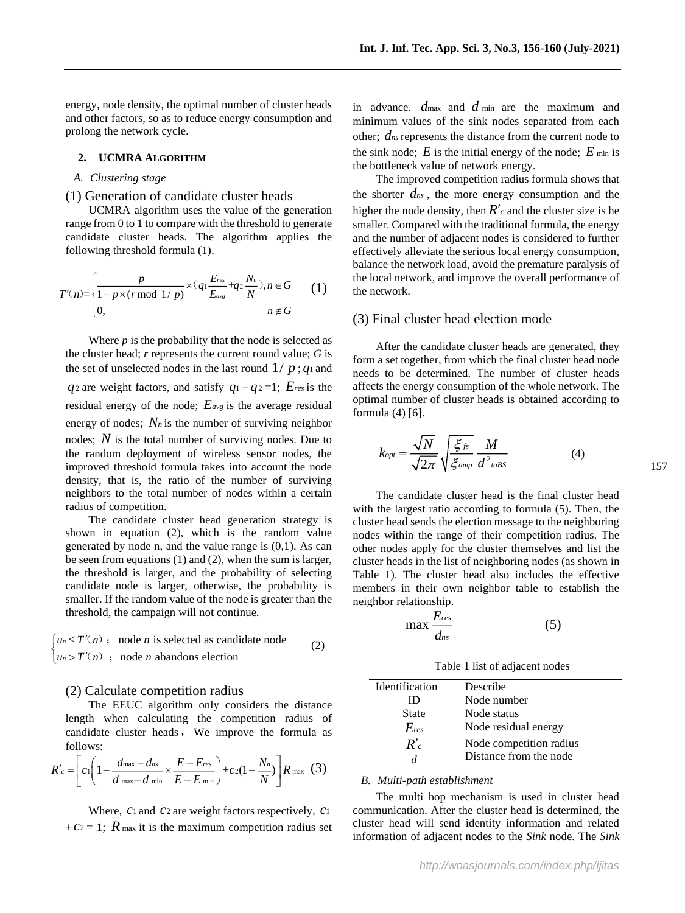energy, node density, the optimal number of cluster heads and other factors, so as to reduce energy consumption and prolong the network cycle.

## **2. UCMRA ALGORITHM**

## *A. Clustering stage*

# (1) Generation of candidate cluster heads

UCMRA algorithm uses the value of the generation range from 0 to 1 to compare with the threshold to generate candidate cluster heads. The algorithm applies the following threshold formula (1).

$$
T'(n) = \begin{cases} \frac{p}{1 - p \times (r \bmod 1/p)} \times (q_1 \frac{E_{res}}{E_{avg}} + q_2 \frac{N_n}{N}), n \in G \\ 0, & n \notin G \end{cases}
$$
 (1)

Where *p* is the probability that the node is selected as the cluster head; *r* represents the current round value; *G* is the set of unselected nodes in the last round  $1/p$ ;  $q_1$  and  $q_2$  are weight factors, and satisfy  $q_1 + q_2 = 1$ ;  $E_{res}$  is the residual energy of the node; *Eavg* is the average residual energy of nodes;  $N_n$  is the number of surviving neighbor nodes; N is the total number of surviving nodes. Due to the random deployment of wireless sensor nodes, the improved threshold formula takes into account the node density, that is, the ratio of the number of surviving neighbors to the total number of nodes within a certain radius of competition.

The candidate cluster head generation strategy is shown in equation (2), which is the random value generated by node n, and the value range is (0,1). As can be seen from equations (1) and (2), when the sum is larger, the threshold is larger, and the probability of selecting candidate node is larger, otherwise, the probability is smaller. If the random value of the node is greater than the threshold, the campaign will not continue.

 $\lceil u_n \leq T'(n) \rceil$  node *n* is selected as candidate node  $\begin{cases} u_n > T'(n) \end{cases}$ ; node *n* abandons election (2)

# (2) Calculate competition radius

The EEUC algorithm only considers the distance length when calculating the competition radius of candidate cluster heads, We improve the formula as follows:

$$
R'_{c} = \left[ c_{1} \left( 1 - \frac{d_{\max} - d_{ns}}{d_{\max} - d_{\min}} \times \frac{E - E_{res}}{E - E_{\min}} \right) + c_{2} (1 - \frac{N_{n}}{N}) \right] R_{\max} \quad (3)
$$

Where, *c*1 and *c*2 are weight factors respectively, *c*1  $+ c_2 = 1$ ; R max it is the maximum competition radius set

in advance.  $d_{\text{max}}$  and  $d_{\text{min}}$  are the maximum and minimum values of the sink nodes separated from each other; *dns* represents the distance from the current node to the sink node;  $E$  is the initial energy of the node;  $E$  min is the bottleneck value of network energy.

The improved competition radius formula shows that the shorter  $d_{ns}$ , the more energy consumption and the higher the node density, then  $R'$ <sub>c</sub> and the cluster size is he smaller. Compared with the traditional formula, the energy and the number of adjacent nodes is considered to further effectively alleviate the serious local energy consumption, balance the network load, avoid the premature paralysis of the local network, and improve the overall performance of the network.

# (3) Final cluster head election mode

After the candidate cluster heads are generated, they form a set together, from which the final cluster head node needs to be determined. The number of cluster heads affects the energy consumption of the whole network. The optimal number of cluster heads is obtained according to formula (4) [6].

$$
k_{opt} = \frac{\sqrt{N}}{\sqrt{2\pi}} \sqrt{\frac{\xi_{fs}}{\xi_{amp}}} \frac{M}{d^2_{\text{toBS}}} \tag{4}
$$

The candidate cluster head is the final cluster head with the largest ratio according to formula (5). Then, the cluster head sends the election message to the neighboring nodes within the range of their competition radius. The other nodes apply for the cluster themselves and list the cluster heads in the list of neighboring nodes (as shown in Table 1). The cluster head also includes the effective members in their own neighbor table to establish the neighbor relationship.

$$
\max \frac{E_{res}}{d_{ns}}\tag{5}
$$

Table 1 list of adjacent nodes

| Identification | Describe                |
|----------------|-------------------------|
| ID             | Node number             |
| State          | Node status             |
| $E_{res}$      | Node residual energy    |
| R'             | Node competition radius |
|                | Distance from the node  |

## *B. Multi-path establishment*

The multi hop mechanism is used in cluster head communication. After the cluster head is determined, the cluster head will send identity information and related information of adjacent nodes to the *Sink* node. The *Sink*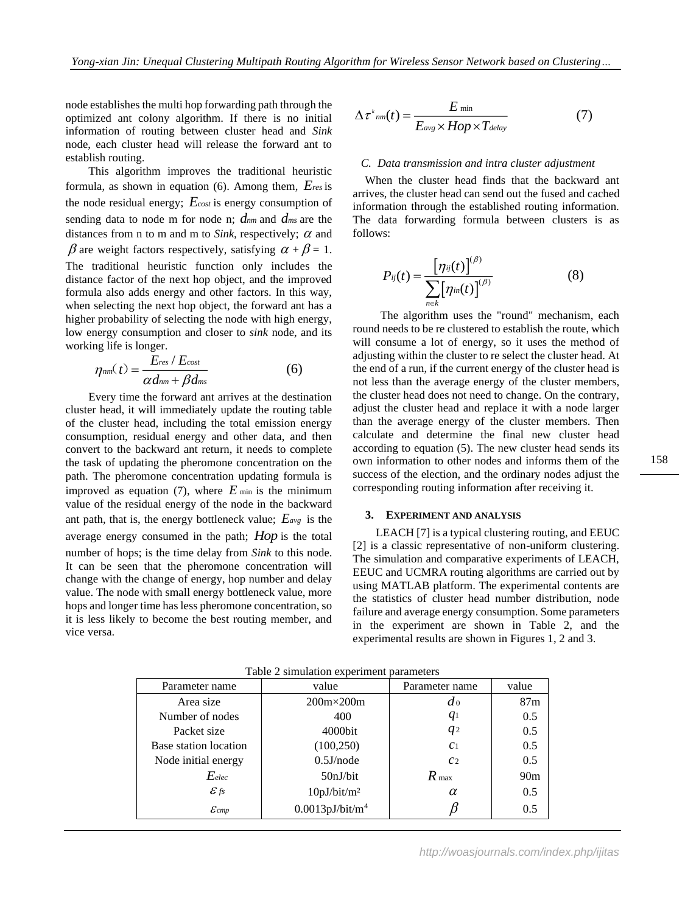node establishes the multi hop forwarding path through the optimized ant colony algorithm. If there is no initial information of routing between cluster head and *Sink* node, each cluster head will release the forward ant to establish routing.

This algorithm improves the traditional heuristic formula, as shown in equation (6). Among them, *Eres* is the node residual energy; *Ecost* is energy consumption of sending data to node m for node n; *dnm* and *dms* are the distances from n to m and m to *Sink*, respectively;  $\alpha$  and  $\beta$  are weight factors respectively, satisfying  $\alpha + \beta = 1$ . The traditional heuristic function only includes the distance factor of the next hop object, and the improved formula also adds energy and other factors. In this way, when selecting the next hop object, the forward ant has a higher probability of selecting the node with high energy, low energy consumption and closer to *sink* node, and its working life is longer.

$$
\eta_{nm}(t) = \frac{E_{res} / E_{cost}}{\alpha d_{nm} + \beta d_{ms}}
$$
(6)

Every time the forward ant arrives at the destination cluster head, it will immediately update the routing table of the cluster head, including the total emission energy consumption, residual energy and other data, and then convert to the backward ant return, it needs to complete the task of updating the pheromone concentration on the path. The pheromone concentration updating formula is improved as equation (7), where  $E_{min}$  is the minimum value of the residual energy of the node in the backward ant path, that is, the energy bottleneck value; *Eavg* is the average energy consumed in the path; *Hop* is the total number of hops; is the time delay from *Sink* to this node. It can be seen that the pheromone concentration will change with the change of energy, hop number and delay value. The node with small energy bottleneck value, more hops and longer time has less pheromone concentration, so it is less likely to become the best routing member, and vice versa.

$$
\Delta \tau^*{}_{nm}(t) = \frac{E_{\min}}{E_{avg} \times Hop \times T_{delay}} \tag{7}
$$

#### *C. Data transmission and intra cluster adjustment*

 When the cluster head finds that the backward ant arrives, the cluster head can send out the fused and cached information through the established routing information. The data forwarding formula between clusters is as follows:

$$
P_{ij}(t) = \frac{\left[\eta_{ij}(t)\right]^{\left(\beta\right)}}{\sum\limits_{n\in k} \left[\eta_{in}(t)\right]^{\left(\beta\right)}}
$$
(8)

The algorithm uses the "round" mechanism, each round needs to be re clustered to establish the route, which will consume a lot of energy, so it uses the method of adjusting within the cluster to re select the cluster head. At the end of a run, if the current energy of the cluster head is not less than the average energy of the cluster members, the cluster head does not need to change. On the contrary, adjust the cluster head and replace it with a node larger than the average energy of the cluster members. Then calculate and determine the final new cluster head according to equation (5). The new cluster head sends its own information to other nodes and informs them of the success of the election, and the ordinary nodes adjust the corresponding routing information after receiving it.

## **3. EXPERIMENT AND ANALYSIS**

LEACH [7] is a typical clustering routing, and EEUC [2] is a classic representative of non-uniform clustering. The simulation and comparative experiments of LEACH, EEUC and UCMRA routing algorithms are carried out by using MATLAB platform. The experimental contents are the statistics of cluster head number distribution, node failure and average energy consumption. Some parameters in the experiment are shown in Table 2, and the experimental results are shown in Figures 1, 2 and 3.

| Table 2 simulation experiment parameters |                                |                  |                 |  |
|------------------------------------------|--------------------------------|------------------|-----------------|--|
| Parameter name                           | value                          | Parameter name   | value           |  |
| Area size                                | $200m \times 200m$             | d <sub>0</sub>   | 87m             |  |
| Number of nodes                          | 400                            | $q_1$            | 0.5             |  |
| Packet size                              | 4000bit                        | $q_2$            | 0.5             |  |
| Base station location                    | (100, 250)                     | C <sub>1</sub>   | 0.5             |  |
| Node initial energy                      | $0.5$ J/node                   | C <sub>2</sub>   | 0.5             |  |
| $E$ elec                                 | 50nJ/bit                       | $R_{\text{max}}$ | 90 <sub>m</sub> |  |
| $\mathcal{E}$ fs                         | 10pJ/bit/m <sup>2</sup>        | $\alpha$         | 0.5             |  |
| $\varepsilon$ cmp                        | $0.0013$ pJ/bit/m <sup>4</sup> |                  | 0.5             |  |

Table 2 simulation experiment parameters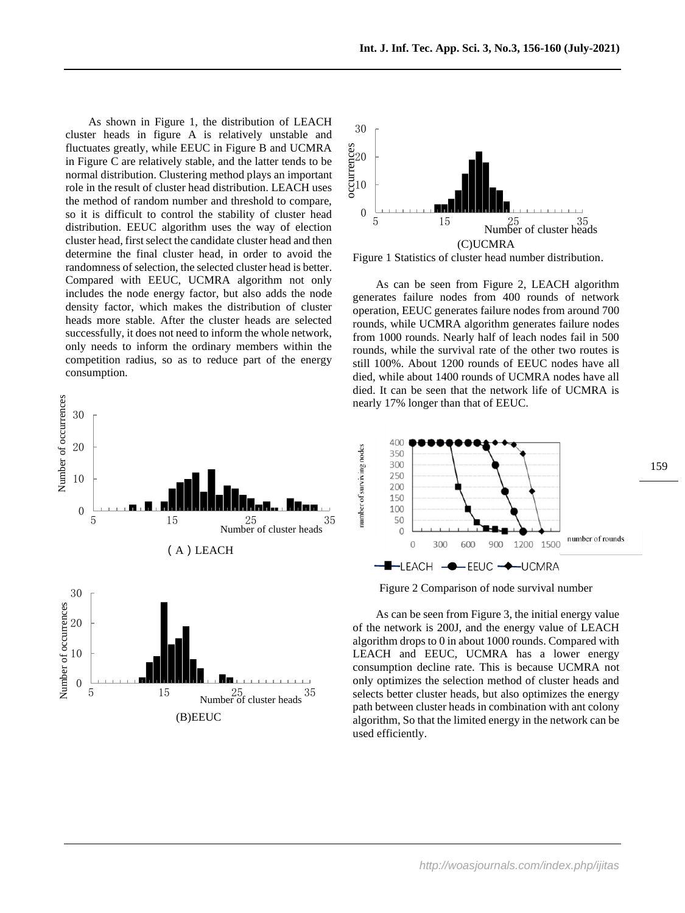As shown in Figure 1, the distribution of LEACH cluster heads in figure A is relatively unstable and fluctuates greatly, while EEUC in Figure B and UCMRA in Figure C are relatively stable, and the latter tends to be normal distribution. Clustering method plays an important role in the result of cluster head distribution. LEACH uses the method of random number and threshold to compare, so it is difficult to control the stability of cluster head distribution. EEUC algorithm uses the way of election cluster head, first select the candidate cluster head and then determine the final cluster head, in order to avoid the randomness of selection, the selected cluster head is better. Compared with EEUC, UCMRA algorithm not only includes the node energy factor, but also adds the node density factor, which makes the distribution of cluster heads more stable. After the cluster heads are selected successfully, it does not need to inform the whole network, only needs to inform the ordinary members within the competition radius, so as to reduce part of the energy consumption.





Figure 1 Statistics of cluster head number distribution.

As can be seen from Figure 2, LEACH algorithm generates failure nodes from 400 rounds of network operation, EEUC generates failure nodes from around 700 rounds, while UCMRA algorithm generates failure nodes from 1000 rounds. Nearly half of leach nodes fail in 500 rounds, while the survival rate of the other two routes is still 100%. About 1200 rounds of EEUC nodes have all died, while about 1400 rounds of UCMRA nodes have all died. It can be seen that the network life of UCMRA is nearly 17% longer than that of EEUC.





As can be seen from Figure 3, the initial energy value of the network is 200J, and the energy value of LEACH algorithm drops to 0 in about 1000 rounds. Compared with LEACH and EEUC, UCMRA has a lower energy consumption decline rate. This is because UCMRA not only optimizes the selection method of cluster heads and selects better cluster heads, but also optimizes the energy path between cluster heads in combination with ant colony algorithm, So that the limited energy in the network can be used efficiently.